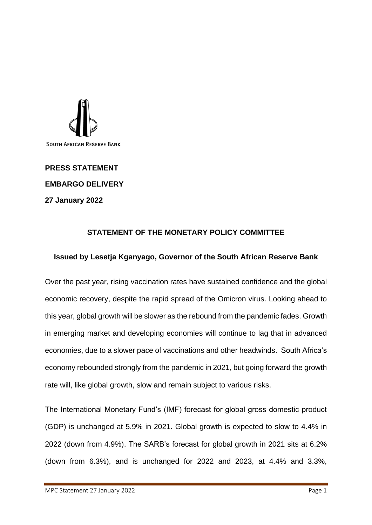

## **PRESS STATEMENT EMBARGO DELIVERY 27 January 2022**

## **STATEMENT OF THE MONETARY POLICY COMMITTEE**

## **Issued by Lesetja Kganyago, Governor of the South African Reserve Bank**

Over the past year, rising vaccination rates have sustained confidence and the global economic recovery, despite the rapid spread of the Omicron virus. Looking ahead to this year, global growth will be slower as the rebound from the pandemic fades. Growth in emerging market and developing economies will continue to lag that in advanced economies, due to a slower pace of vaccinations and other headwinds. South Africa's economy rebounded strongly from the pandemic in 2021, but going forward the growth rate will, like global growth, slow and remain subject to various risks.

The International Monetary Fund's (IMF) forecast for global gross domestic product (GDP) is unchanged at 5.9% in 2021. Global growth is expected to slow to 4.4% in 2022 (down from 4.9%). The SARB's forecast for global growth in 2021 sits at 6.2% (down from 6.3%), and is unchanged for 2022 and 2023, at 4.4% and 3.3%,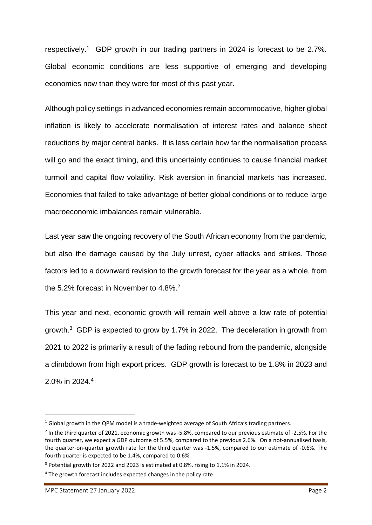respectively. <sup>1</sup> GDP growth in our trading partners in 2024 is forecast to be 2.7%. Global economic conditions are less supportive of emerging and developing economies now than they were for most of this past year.

Although policy settings in advanced economies remain accommodative, higher global inflation is likely to accelerate normalisation of interest rates and balance sheet reductions by major central banks. It is less certain how far the normalisation process will go and the exact timing, and this uncertainty continues to cause financial market turmoil and capital flow volatility. Risk aversion in financial markets has increased. Economies that failed to take advantage of better global conditions or to reduce large macroeconomic imbalances remain vulnerable.

Last year saw the ongoing recovery of the South African economy from the pandemic, but also the damage caused by the July unrest, cyber attacks and strikes. Those factors led to a downward revision to the growth forecast for the year as a whole, from the 5.2% forecast in November to 4.8%.<sup>2</sup>

This year and next, economic growth will remain well above a low rate of potential growth.<sup>3</sup> GDP is expected to grow by 1.7% in 2022. The deceleration in growth from 2021 to 2022 is primarily a result of the fading rebound from the pandemic, alongside a climbdown from high export prices. GDP growth is forecast to be 1.8% in 2023 and 2.0% in 2024.<sup>4</sup>

 $1$  Global growth in the QPM model is a trade-weighted average of South Africa's trading partners.

<sup>&</sup>lt;sup>2</sup> In the third quarter of 2021, economic growth was -5.8%, compared to our previous estimate of -2.5%. For the fourth quarter, we expect a GDP outcome of 5.5%, compared to the previous 2.6%. On a not-annualised basis, the quarter-on-quarter growth rate for the third quarter was -1.5%, compared to our estimate of -0.6%. The fourth quarter is expected to be 1.4%, compared to 0.6%.

<sup>3</sup> Potential growth for 2022 and 2023 is estimated at 0.8%, rising to 1.1% in 2024.

<sup>4</sup> The growth forecast includes expected changes in the policy rate.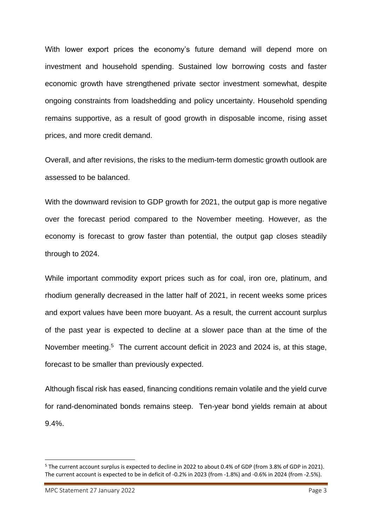With lower export prices the economy's future demand will depend more on investment and household spending. Sustained low borrowing costs and faster economic growth have strengthened private sector investment somewhat, despite ongoing constraints from loadshedding and policy uncertainty. Household spending remains supportive, as a result of good growth in disposable income, rising asset prices, and more credit demand.

Overall, and after revisions, the risks to the medium-term domestic growth outlook are assessed to be balanced.

With the downward revision to GDP growth for 2021, the output gap is more negative over the forecast period compared to the November meeting. However, as the economy is forecast to grow faster than potential, the output gap closes steadily through to 2024.

While important commodity export prices such as for coal, iron ore, platinum, and rhodium generally decreased in the latter half of 2021, in recent weeks some prices and export values have been more buoyant. As a result, the current account surplus of the past year is expected to decline at a slower pace than at the time of the November meeting.<sup>5</sup> The current account deficit in 2023 and 2024 is, at this stage, forecast to be smaller than previously expected.

Although fiscal risk has eased, financing conditions remain volatile and the yield curve for rand-denominated bonds remains steep. Ten-year bond yields remain at about 9.4%.

<sup>5</sup> The current account surplus is expected to decline in 2022 to about 0.4% of GDP (from 3.8% of GDP in 2021). The current account is expected to be in deficit of -0.2% in 2023 (from -1.8%) and -0.6% in 2024 (from -2.5%).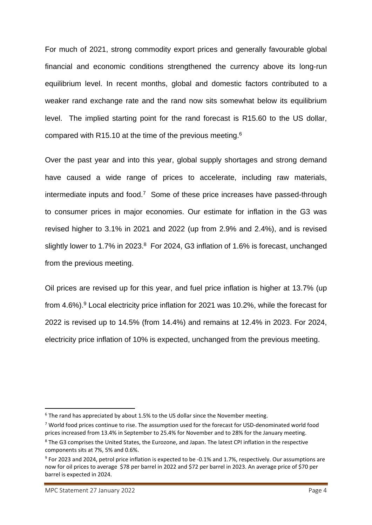For much of 2021, strong commodity export prices and generally favourable global financial and economic conditions strengthened the currency above its long-run equilibrium level. In recent months, global and domestic factors contributed to a weaker rand exchange rate and the rand now sits somewhat below its equilibrium level. The implied starting point for the rand forecast is R15.60 to the US dollar, compared with R15.10 at the time of the previous meeting.<sup>6</sup>

Over the past year and into this year, global supply shortages and strong demand have caused a wide range of prices to accelerate, including raw materials, intermediate inputs and food.<sup>7</sup> Some of these price increases have passed-through to consumer prices in major economies. Our estimate for inflation in the G3 was revised higher to 3.1% in 2021 and 2022 (up from 2.9% and 2.4%), and is revised slightly lower to 1.7% in 2023.<sup>8</sup> For 2024, G3 inflation of 1.6% is forecast, unchanged from the previous meeting.

Oil prices are revised up for this year, and fuel price inflation is higher at 13.7% (up from 4.6%).<sup>9</sup> Local electricity price inflation for 2021 was 10.2%, while the forecast for 2022 is revised up to 14.5% (from 14.4%) and remains at 12.4% in 2023. For 2024, electricity price inflation of 10% is expected, unchanged from the previous meeting.

 $6$  The rand has appreciated by about 1.5% to the US dollar since the November meeting.

<sup>7</sup> World food prices continue to rise. The assumption used for the forecast for USD-denominated world food prices increased from 13.4% in September to 25.4% for November and to 28% for the January meeting.

<sup>8</sup> The G3 comprises the United States, the Eurozone, and Japan. The latest CPI inflation in the respective components sits at 7%, 5% and 0.6%.

<sup>&</sup>lt;sup>9</sup> For 2023 and 2024, petrol price inflation is expected to be -0.1% and 1.7%, respectively. Our assumptions are now for oil prices to average \$78 per barrel in 2022 and \$72 per barrel in 2023. An average price of \$70 per barrel is expected in 2024.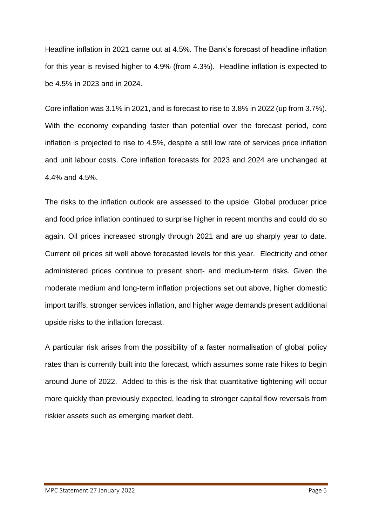Headline inflation in 2021 came out at 4.5%. The Bank's forecast of headline inflation for this year is revised higher to 4.9% (from 4.3%). Headline inflation is expected to be 4.5% in 2023 and in 2024.

Core inflation was 3.1% in 2021, and is forecast to rise to 3.8% in 2022 (up from 3.7%). With the economy expanding faster than potential over the forecast period, core inflation is projected to rise to 4.5%, despite a still low rate of services price inflation and unit labour costs. Core inflation forecasts for 2023 and 2024 are unchanged at 4.4% and 4.5%.

The risks to the inflation outlook are assessed to the upside. Global producer price and food price inflation continued to surprise higher in recent months and could do so again. Oil prices increased strongly through 2021 and are up sharply year to date. Current oil prices sit well above forecasted levels for this year. Electricity and other administered prices continue to present short- and medium-term risks. Given the moderate medium and long-term inflation projections set out above, higher domestic import tariffs, stronger services inflation, and higher wage demands present additional upside risks to the inflation forecast.

A particular risk arises from the possibility of a faster normalisation of global policy rates than is currently built into the forecast, which assumes some rate hikes to begin around June of 2022. Added to this is the risk that quantitative tightening will occur more quickly than previously expected, leading to stronger capital flow reversals from riskier assets such as emerging market debt.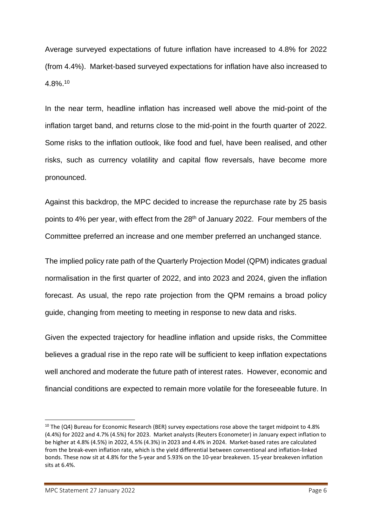Average surveyed expectations of future inflation have increased to 4.8% for 2022 (from 4.4%). Market-based surveyed expectations for inflation have also increased to 4.8%. 10

In the near term, headline inflation has increased well above the mid-point of the inflation target band, and returns close to the mid-point in the fourth quarter of 2022. Some risks to the inflation outlook, like food and fuel, have been realised, and other risks, such as currency volatility and capital flow reversals, have become more pronounced.

Against this backdrop, the MPC decided to increase the repurchase rate by 25 basis points to 4% per year, with effect from the 28<sup>th</sup> of January 2022. Four members of the Committee preferred an increase and one member preferred an unchanged stance.

The implied policy rate path of the Quarterly Projection Model (QPM) indicates gradual normalisation in the first quarter of 2022, and into 2023 and 2024, given the inflation forecast. As usual, the repo rate projection from the QPM remains a broad policy guide, changing from meeting to meeting in response to new data and risks.

Given the expected trajectory for headline inflation and upside risks, the Committee believes a gradual rise in the repo rate will be sufficient to keep inflation expectations well anchored and moderate the future path of interest rates. However, economic and financial conditions are expected to remain more volatile for the foreseeable future. In

<sup>&</sup>lt;sup>10</sup> The (Q4) Bureau for Economic Research (BER) survey expectations rose above the target midpoint to 4.8% (4.4%) for 2022 and 4.7% (4.5%) for 2023. Market analysts (Reuters Econometer) in January expect inflation to be higher at 4.8% (4.5%) in 2022, 4.5% (4.3%) in 2023 and 4.4% in 2024. Market-based rates are calculated from the break-even inflation rate, which is the yield differential between conventional and inflation-linked bonds. These now sit at 4.8% for the 5-year and 5.93% on the 10-year breakeven. 15-year breakeven inflation sits at 6.4%.